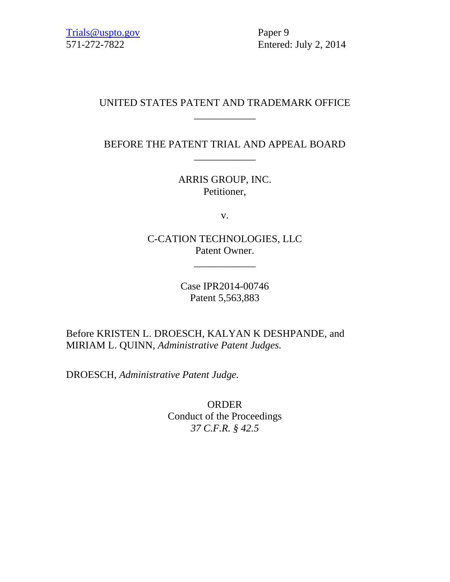Trials@uspto.gov Paper 9

571-272-7822 Entered: July 2, 2014

## UNITED STATES PATENT AND TRADEMARK OFFICE \_\_\_\_\_\_\_\_\_\_\_\_

BEFORE THE PATENT TRIAL AND APPEAL BOARD \_\_\_\_\_\_\_\_\_\_\_\_

> ARRIS GROUP, INC. Petitioner,

> > v.

C-CATION TECHNOLOGIES, LLC Patent Owner.

\_\_\_\_\_\_\_\_\_\_\_\_

Case IPR2014-00746 Patent 5,563,883

Before KRISTEN L. DROESCH, KALYAN K DESHPANDE, and MIRIAM L. QUINN, *Administrative Patent Judges.*

DROESCH, *Administrative Patent Judge.*

ORDER Conduct of the Proceedings *37 C.F.R. § 42.5*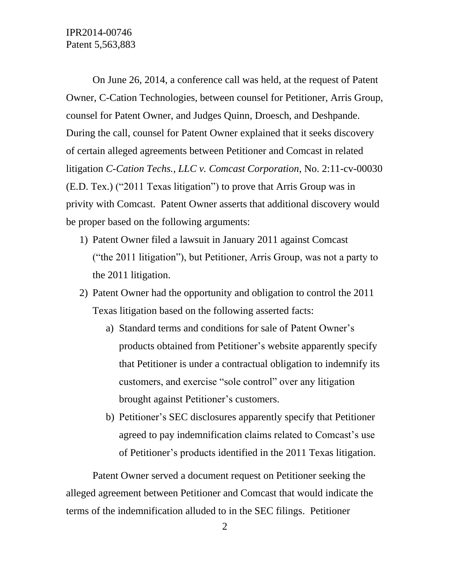On June 26, 2014, a conference call was held, at the request of Patent Owner, C-Cation Technologies, between counsel for Petitioner, Arris Group, counsel for Patent Owner, and Judges Quinn, Droesch, and Deshpande. During the call, counsel for Patent Owner explained that it seeks discovery of certain alleged agreements between Petitioner and Comcast in related litigation *C-Cation Techs., LLC v. Comcast Corporation*, No. 2:11-cv-00030 (E.D. Tex.) ("2011 Texas litigation") to prove that Arris Group was in privity with Comcast. Patent Owner asserts that additional discovery would be proper based on the following arguments:

- 1) Patent Owner filed a lawsuit in January 2011 against Comcast ("the 2011 litigation"), but Petitioner, Arris Group, was not a party to the 2011 litigation.
- 2) Patent Owner had the opportunity and obligation to control the 2011 Texas litigation based on the following asserted facts:
	- a) Standard terms and conditions for sale of Patent Owner's products obtained from Petitioner's website apparently specify that Petitioner is under a contractual obligation to indemnify its customers, and exercise "sole control" over any litigation brought against Petitioner's customers.
	- b) Petitioner's SEC disclosures apparently specify that Petitioner agreed to pay indemnification claims related to Comcast's use of Petitioner's products identified in the 2011 Texas litigation.

Patent Owner served a document request on Petitioner seeking the alleged agreement between Petitioner and Comcast that would indicate the terms of the indemnification alluded to in the SEC filings. Petitioner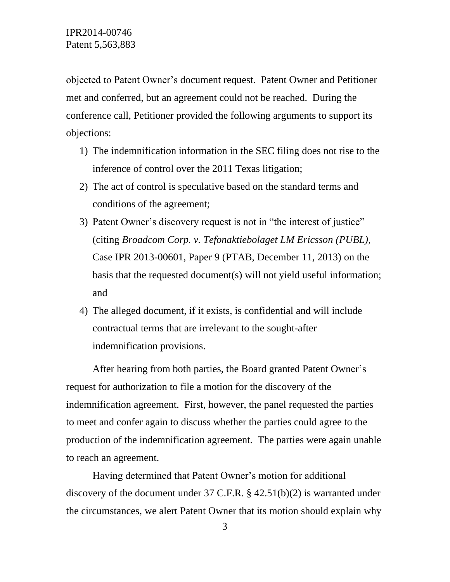objected to Patent Owner's document request. Patent Owner and Petitioner met and conferred, but an agreement could not be reached. During the conference call, Petitioner provided the following arguments to support its objections:

- 1) The indemnification information in the SEC filing does not rise to the inference of control over the 2011 Texas litigation;
- 2) The act of control is speculative based on the standard terms and conditions of the agreement;
- 3) Patent Owner's discovery request is not in "the interest of justice" (citing *Broadcom Corp. v. Tefonaktiebolaget LM Ericsson (PUBL)*, Case IPR 2013-00601, Paper 9 (PTAB, December 11, 2013) on the basis that the requested document(s) will not yield useful information; and
- 4) The alleged document, if it exists, is confidential and will include contractual terms that are irrelevant to the sought-after indemnification provisions.

After hearing from both parties, the Board granted Patent Owner's request for authorization to file a motion for the discovery of the indemnification agreement. First, however, the panel requested the parties to meet and confer again to discuss whether the parties could agree to the production of the indemnification agreement. The parties were again unable to reach an agreement.

Having determined that Patent Owner's motion for additional discovery of the document under 37 C.F.R. § 42.51(b)(2) is warranted under the circumstances, we alert Patent Owner that its motion should explain why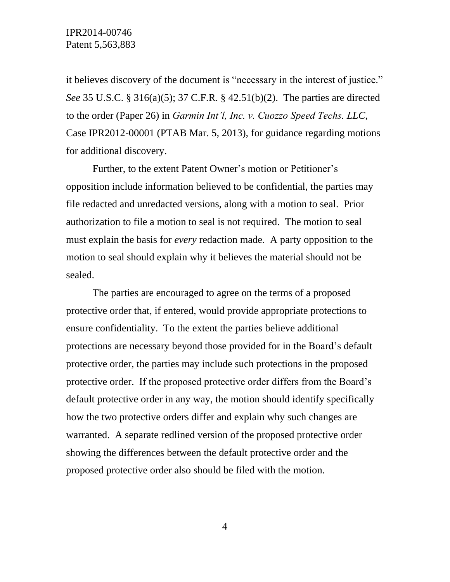it believes discovery of the document is "necessary in the interest of justice." *See* 35 U.S.C. § 316(a)(5); 37 C.F.R. § 42.51(b)(2). The parties are directed to the order (Paper 26) in *Garmin Int'l, Inc. v. Cuozzo Speed Techs. LLC*, Case IPR2012-00001 (PTAB Mar. 5, 2013), for guidance regarding motions for additional discovery.

Further, to the extent Patent Owner's motion or Petitioner's opposition include information believed to be confidential, the parties may file redacted and unredacted versions, along with a motion to seal. Prior authorization to file a motion to seal is not required. The motion to seal must explain the basis for *every* redaction made. A party opposition to the motion to seal should explain why it believes the material should not be sealed.

The parties are encouraged to agree on the terms of a proposed protective order that, if entered, would provide appropriate protections to ensure confidentiality. To the extent the parties believe additional protections are necessary beyond those provided for in the Board's default protective order, the parties may include such protections in the proposed protective order. If the proposed protective order differs from the Board's default protective order in any way, the motion should identify specifically how the two protective orders differ and explain why such changes are warranted. A separate redlined version of the proposed protective order showing the differences between the default protective order and the proposed protective order also should be filed with the motion.

4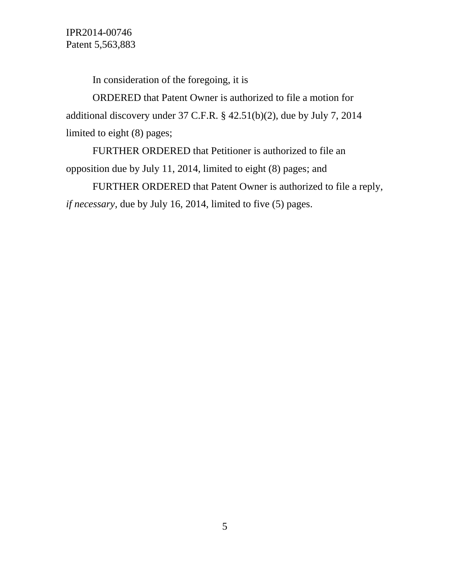IPR2014-00746 Patent 5,563,883

In consideration of the foregoing, it is

ORDERED that Patent Owner is authorized to file a motion for additional discovery under 37 C.F.R. § 42.51(b)(2), due by July 7, 2014 limited to eight (8) pages;

FURTHER ORDERED that Petitioner is authorized to file an opposition due by July 11, 2014, limited to eight (8) pages; and

FURTHER ORDERED that Patent Owner is authorized to file a reply, *if necessary*, due by July 16, 2014, limited to five (5) pages.